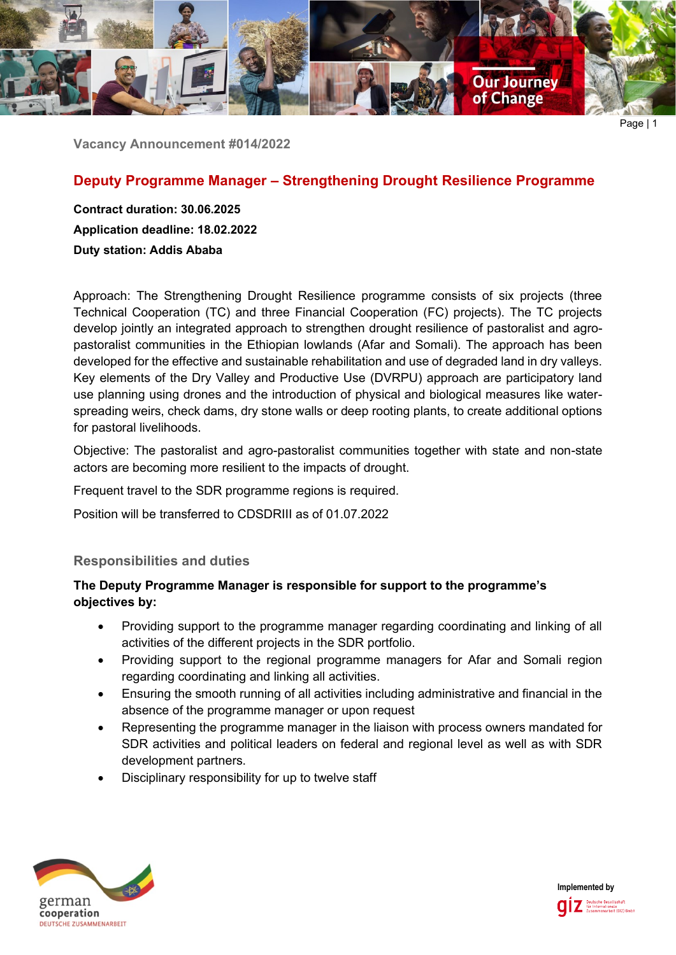

Page | 1

**Vacancy Announcement #014/2022**

# **Deputy Programme Manager – Strengthening Drought Resilience Programme**

**Contract duration: 30.06.2025 Application deadline: 18.02.2022 Duty station: Addis Ababa**

Approach: The Strengthening Drought Resilience programme consists of six projects (three Technical Cooperation (TC) and three Financial Cooperation (FC) projects). The TC projects develop jointly an integrated approach to strengthen drought resilience of pastoralist and agropastoralist communities in the Ethiopian lowlands (Afar and Somali). The approach has been developed for the effective and sustainable rehabilitation and use of degraded land in dry valleys. Key elements of the Dry Valley and Productive Use (DVRPU) approach are participatory land use planning using drones and the introduction of physical and biological measures like waterspreading weirs, check dams, dry stone walls or deep rooting plants, to create additional options for pastoral livelihoods.

Objective: The pastoralist and agro-pastoralist communities together with state and non-state actors are becoming more resilient to the impacts of drought.

Frequent travel to the SDR programme regions is required.

Position will be transferred to CDSDRIII as of 01.07.2022

## **Responsibilities and duties**

## **The Deputy Programme Manager is responsible for support to the programme's objectives by:**

- Providing support to the programme manager regarding coordinating and linking of all activities of the different projects in the SDR portfolio.
- Providing support to the regional programme managers for Afar and Somali region regarding coordinating and linking all activities.
- Ensuring the smooth running of all activities including administrative and financial in the absence of the programme manager or upon request
- Representing the programme manager in the liaison with process owners mandated for SDR activities and political leaders on federal and regional level as well as with SDR development partners.
- Disciplinary responsibility for up to twelve staff



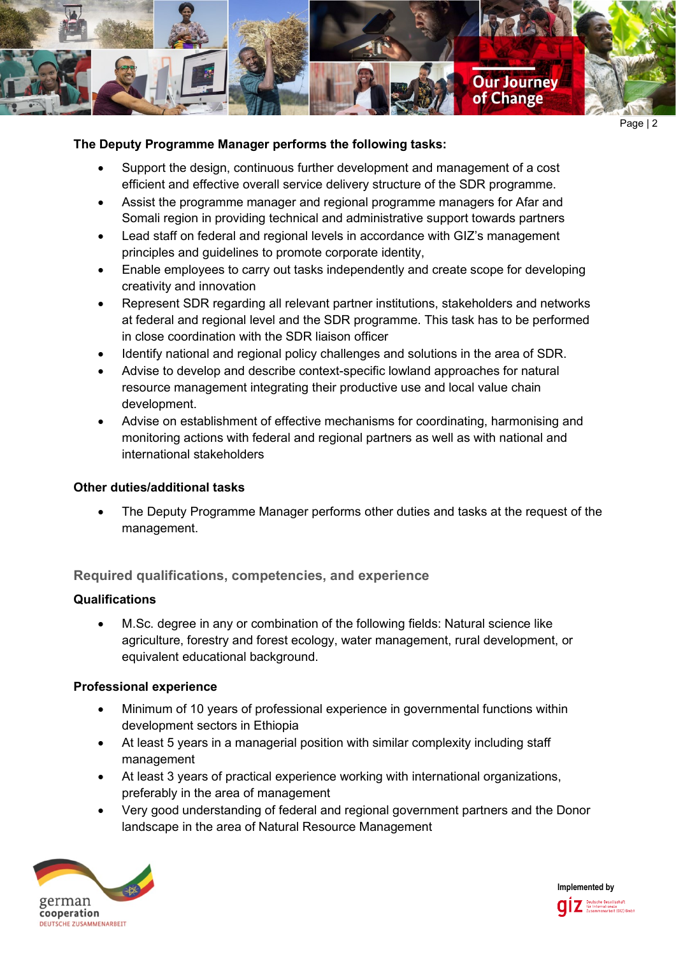

### **The Deputy Programme Manager performs the following tasks:**

- Support the design, continuous further development and management of a cost efficient and effective overall service delivery structure of the SDR programme.
- Assist the programme manager and regional programme managers for Afar and Somali region in providing technical and administrative support towards partners
- Lead staff on federal and regional levels in accordance with GIZ's management principles and guidelines to promote corporate identity,
- Enable employees to carry out tasks independently and create scope for developing creativity and innovation
- Represent SDR regarding all relevant partner institutions, stakeholders and networks at federal and regional level and the SDR programme. This task has to be performed in close coordination with the SDR liaison officer
- Identify national and regional policy challenges and solutions in the area of SDR.
- Advise to develop and describe context-specific lowland approaches for natural resource management integrating their productive use and local value chain development.
- Advise on establishment of effective mechanisms for coordinating, harmonising and monitoring actions with federal and regional partners as well as with national and international stakeholders

### **Other duties/additional tasks**

• The Deputy Programme Manager performs other duties and tasks at the request of the management.

### **Required qualifications, competencies, and experience**

### **Qualifications**

• M.Sc. degree in any or combination of the following fields: Natural science like agriculture, forestry and forest ecology, water management, rural development, or equivalent educational background.

### **Professional experience**

- Minimum of 10 years of professional experience in governmental functions within development sectors in Ethiopia
- At least 5 years in a managerial position with similar complexity including staff management
- At least 3 years of practical experience working with international organizations, preferably in the area of management
- Very good understanding of federal and regional government partners and the Donor landscape in the area of Natural Resource Management